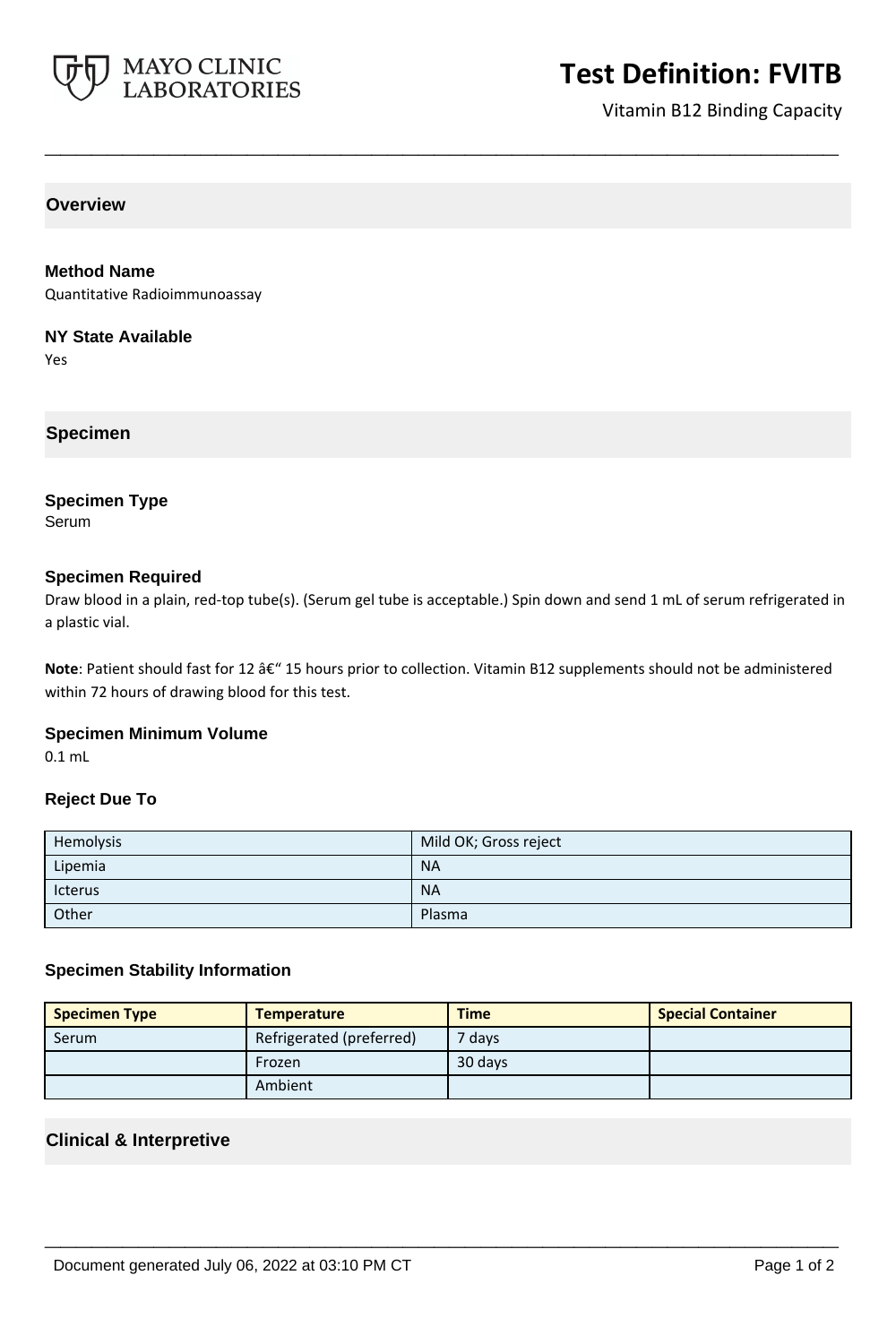

# **Test Definition: FVITB**

Vitamin B12 Binding Capacity

**Overview**

#### **Method Name**

Quantitative Radioimmunoassay

#### **NY State Available**

Yes

**Specimen**

#### **Specimen Type**

Serum

#### **Specimen Required**

Draw blood in a plain, red-top tube(s). (Serum gel tube is acceptable.) Spin down and send 1 mL of serum refrigerated in a plastic vial.

**\_\_\_\_\_\_\_\_\_\_\_\_\_\_\_\_\_\_\_\_\_\_\_\_\_\_\_\_\_\_\_\_\_\_\_\_\_\_\_\_\_\_\_\_\_\_\_\_\_\_\_**

**Note**: Patient should fast for 12 â€" 15 hours prior to collection. Vitamin B12 supplements should not be administered within 72 hours of drawing blood for this test.

#### **Specimen Minimum Volume**

0.1 mL

#### **Reject Due To**

| Hemolysis | Mild OK; Gross reject |
|-----------|-----------------------|
| Lipemia   | <b>NA</b>             |
| Icterus   | <b>NA</b>             |
| Other     | Plasma                |

#### **Specimen Stability Information**

| <b>Specimen Type</b> | <b>Temperature</b>       | <b>Time</b> | <b>Special Container</b> |
|----------------------|--------------------------|-------------|--------------------------|
| Serum                | Refrigerated (preferred) | 7 days      |                          |
|                      | Frozen                   | 30 days     |                          |
|                      | Ambient                  |             |                          |

**\_\_\_\_\_\_\_\_\_\_\_\_\_\_\_\_\_\_\_\_\_\_\_\_\_\_\_\_\_\_\_\_\_\_\_\_\_\_\_\_\_\_\_\_\_\_\_\_\_\_\_**

#### **Clinical & Interpretive**